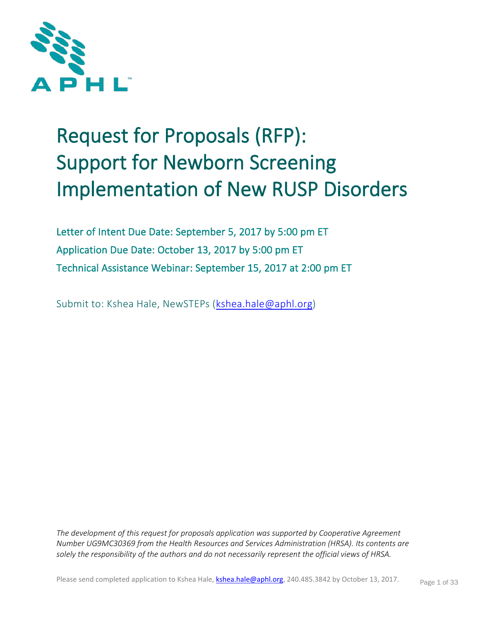

# Request for Proposals (RFP): Support for Newborn Screening Implementation of New RUSP Disorders

Letter of Intent Due Date: September 5, 2017 by 5:00 pm ET Application Due Date: October 13, 2017 by 5:00 pm ET Technical Assistance Webinar: September 15, 2017 at 2:00 pm ET

Submit to: Kshea Hale, NewSTEPs [\(kshea.hale@aphl.org\)](mailto:kshea.hale@aphl.org)

*The development of this request for proposals application was supported by Cooperative Agreement Number UG9MC30369 from the Health Resources and Services Administration (HRSA). Its contents are solely the responsibility of the authors and do not necessarily represent the official views of HRSA.*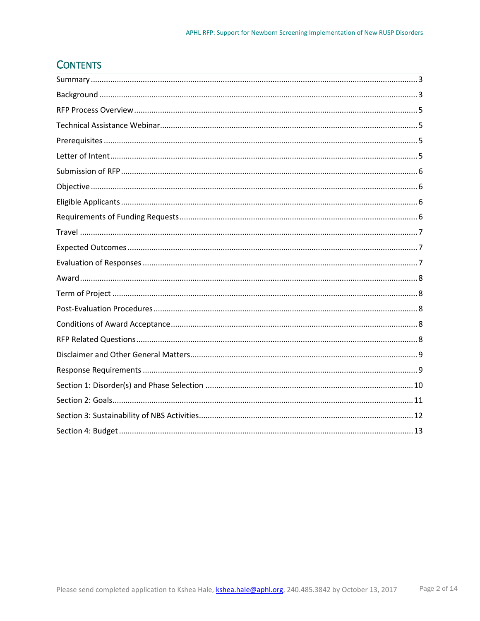# **CONTENTS**

<span id="page-1-0"></span>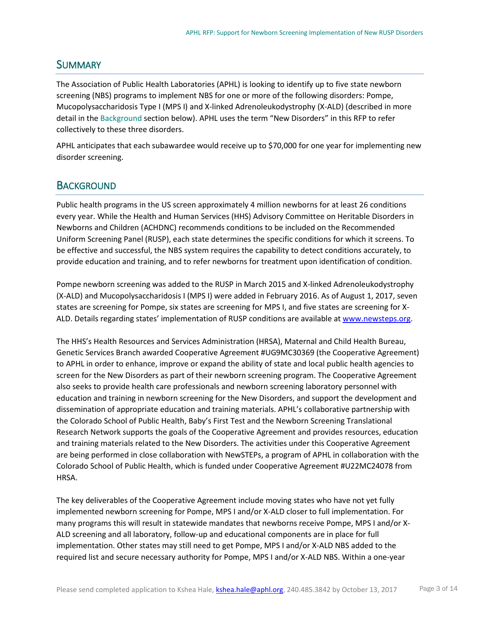## SUMMARY

The Association of Public Health Laboratories (APHL) is looking to identify up to five state newborn screening (NBS) programs to implement NBS for one or more of the following disorders: Pompe, Mucopolysaccharidosis Type I (MPS I) and X-linked Adrenoleukodystrophy (X-ALD) (described in more detail in the Background section below). APHL uses the term "New Disorders" in this RFP to refer collectively to these three disorders.

APHL anticipates that each subawardee would receive up to \$70,000 for one year for implementing new disorder screening.

## <span id="page-2-0"></span>**BACKGROUND**

Public health programs in the US screen approximately 4 million newborns for at least 26 conditions every year. While the Health and Human Services (HHS) Advisory Committee on Heritable Disorders in Newborns and Children (ACHDNC) recommends conditions to be included on the Recommended Uniform Screening Panel (RUSP), each state determines the specific conditions for which it screens. To be effective and successful, the NBS system requires the capability to detect conditions accurately, to provide education and training, and to refer newborns for treatment upon identification of condition.

Pompe newborn screening was added to the RUSP in March 2015 and X-linked Adrenoleukodystrophy (X-ALD) and Mucopolysaccharidosis I (MPS I) were added in February 2016. As of August 1, 2017, seven states are screening for Pompe, six states are screening for MPS I, and five states are screening for X-ALD. Details regarding states' implementation of RUSP conditions are available at [www.newsteps.org.](http://www.newsteps.org/)

The HHS's Health Resources and Services Administration (HRSA), Maternal and Child Health Bureau, Genetic Services Branch awarded Cooperative Agreement #UG9MC30369 (the Cooperative Agreement) to APHL in order to enhance, improve or expand the ability of state and local public health agencies to screen for the New Disorders as part of their newborn screening program. The Cooperative Agreement also seeks to provide health care professionals and newborn screening laboratory personnel with education and training in newborn screening for the New Disorders, and support the development and dissemination of appropriate education and training materials. APHL's collaborative partnership with the Colorado School of Public Health, Baby's First Test and the Newborn Screening Translational Research Network supports the goals of the Cooperative Agreement and provides resources, education and training materials related to the New Disorders. The activities under this Cooperative Agreement are being performed in close collaboration with NewSTEPs, a program of APHL in collaboration with the Colorado School of Public Health, which is funded under Cooperative Agreement #U22MC24078 from HRSA.

The key deliverables of the Cooperative Agreement include moving states who have not yet fully implemented newborn screening for Pompe, MPS I and/or X-ALD closer to full implementation. For many programs this will result in statewide mandates that newborns receive Pompe, MPS I and/or X-ALD screening and all laboratory, follow-up and educational components are in place for full implementation. Other states may still need to get Pompe, MPS I and/or X-ALD NBS added to the required list and secure necessary authority for Pompe, MPS I and/or X-ALD NBS. Within a one-year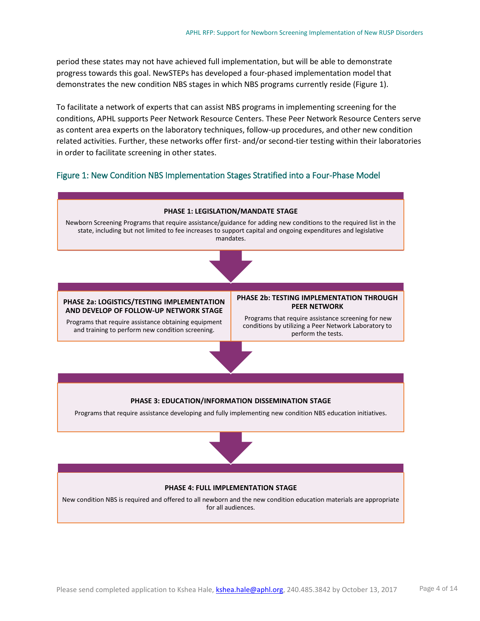period these states may not have achieved full implementation, but will be able to demonstrate progress towards this goal. NewSTEPs has developed a four-phased implementation model that demonstrates the new condition NBS stages in which NBS programs currently reside (Figure 1).

To facilitate a network of experts that can assist NBS programs in implementing screening for the conditions, APHL supports Peer Network Resource Centers. These Peer Network Resource Centers serve as content area experts on the laboratory techniques, follow-up procedures, and other new condition related activities. Further, these networks offer first- and/or second-tier testing within their laboratories in order to facilitate screening in other states.

#### <span id="page-3-0"></span>Figure 1: New Condition NBS Implementation Stages Stratified into a Four-Phase Model





#### **PHASE 4: FULL IMPLEMENTATION STAGE**

New condition NBS is required and offered to all newborn and the new condition education materials are appropriate for all audiences.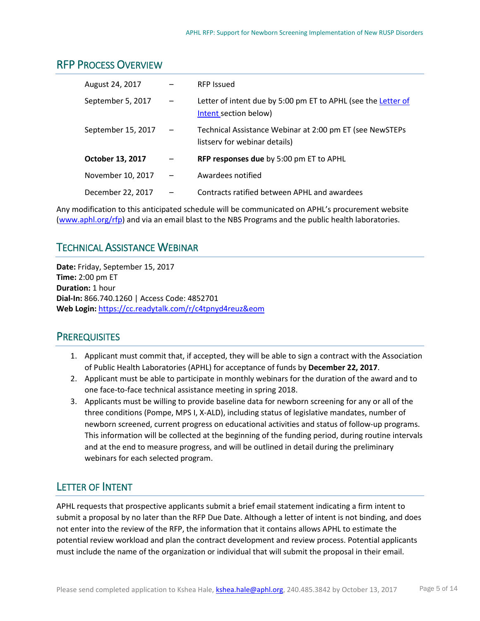## <span id="page-4-0"></span>RFP PROCESS OVERVIEW

| August 24, 2017    |                          | <b>RFP Issued</b>                                                                         |
|--------------------|--------------------------|-------------------------------------------------------------------------------------------|
| September 5, 2017  |                          | Letter of intent due by 5:00 pm ET to APHL (see the Letter of<br>Intent section below)    |
| September 15, 2017 |                          | Technical Assistance Webinar at 2:00 pm ET (see NewSTEPs<br>listsery for webinar details) |
| October 13, 2017   |                          | RFP responses due by 5:00 pm ET to APHL                                                   |
| November 10, 2017  | $\overline{\phantom{0}}$ | Awardees notified                                                                         |
| December 22, 2017  |                          | Contracts ratified between APHL and awardees                                              |

Any modification to this anticipated schedule will be communicated on APHL's procurement website [\(www.aphl.org/rfp\)](http://www.aphl.org/rfp) and via an email blast to the NBS Programs and the public health laboratories.

# <span id="page-4-1"></span>TECHNICAL ASSISTANCE WEBINAR

**Date:** Friday, September 15, 2017 **Time:** 2:00 pm ET **Duration:** 1 hour **Dial-In:** 866.740.1260 | Access Code: 4852701 **Web Login:** <https://cc.readytalk.com/r/c4tpnyd4reuz&eom>

## <span id="page-4-2"></span>**PREREQUISITES**

- 1. Applicant must commit that, if accepted, they will be able to sign a contract with the Association of Public Health Laboratories (APHL) for acceptance of funds by **December 22, 2017**.
- 2. Applicant must be able to participate in monthly webinars for the duration of the award and to one face-to-face technical assistance meeting in spring 2018.
- 3. Applicants must be willing to provide baseline data for newborn screening for any or all of the three conditions (Pompe, MPS I, X-ALD), including status of legislative mandates, number of newborn screened, current progress on educational activities and status of follow-up programs. This information will be collected at the beginning of the funding period, during routine intervals and at the end to measure progress, and will be outlined in detail during the preliminary webinars for each selected program.

# <span id="page-4-3"></span>LETTER OF INTENT

APHL requests that prospective applicants submit a brief email statement indicating a firm intent to submit a proposal by no later than the RFP Due Date. Although a letter of intent is not binding, and does not enter into the review of the RFP, the information that it contains allows APHL to estimate the potential review workload and plan the contract development and review process. Potential applicants must include the name of the organization or individual that will submit the proposal in their email.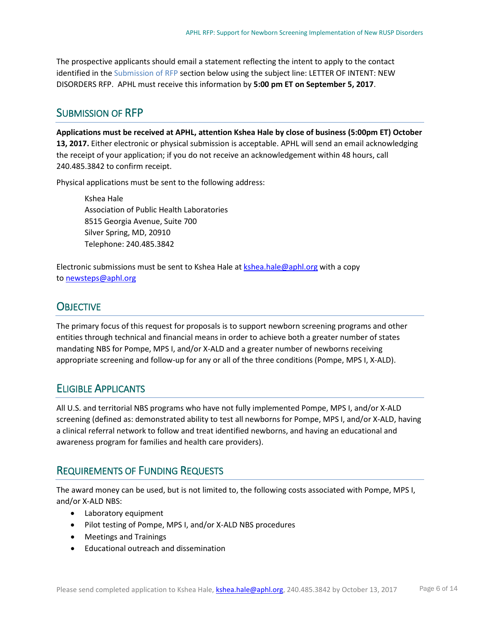The prospective applicants should email a statement reflecting the intent to apply to the contact identified in th[e Submission of RFP](#page-5-0) section below using the subject line: LETTER OF INTENT: NEW DISORDERS RFP. APHL must receive this information by **5:00 pm ET on September 5, 2017**.

## <span id="page-5-0"></span>SUBMISSION OF RFP

**Applications must be received at APHL, attention Kshea Hale by close of business (5:00pm ET) October 13, 2017.** Either electronic or physical submission is acceptable. APHL will send an email acknowledging the receipt of your application; if you do not receive an acknowledgement within 48 hours, call 240.485.3842 to confirm receipt.

Physical applications must be sent to the following address:

Kshea Hale Association of Public Health Laboratories 8515 Georgia Avenue, Suite 700 Silver Spring, MD, 20910 Telephone: 240.485.3842

Electronic submissions must be sent to Kshea Hale at [kshea.hale@aphl.org](mailto:kshea.hale@aphl.org) with a copy to [newsteps@aphl.org](mailto:newsteps@aphl.org)

# <span id="page-5-1"></span>**OBJECTIVE**

The primary focus of this request for proposals is to support newborn screening programs and other entities through technical and financial means in order to achieve both a greater number of states mandating NBS for Pompe, MPS I, and/or X-ALD and a greater number of newborns receiving appropriate screening and follow-up for any or all of the three conditions (Pompe, MPS I, X-ALD).

# <span id="page-5-2"></span>ELIGIBLE APPLICANTS

All U.S. and territorial NBS programs who have not fully implemented Pompe, MPS I, and/or X-ALD screening (defined as: demonstrated ability to test all newborns for Pompe, MPS I, and/or X-ALD, having a clinical referral network to follow and treat identified newborns, and having an educational and awareness program for families and health care providers).

# <span id="page-5-3"></span>REQUIREMENTS OF FUNDING REQUESTS

The award money can be used, but is not limited to, the following costs associated with Pompe, MPS I, and/or X-ALD NBS:

- Laboratory equipment
- Pilot testing of Pompe, MPS I, and/or X-ALD NBS procedures
- Meetings and Trainings
- Educational outreach and dissemination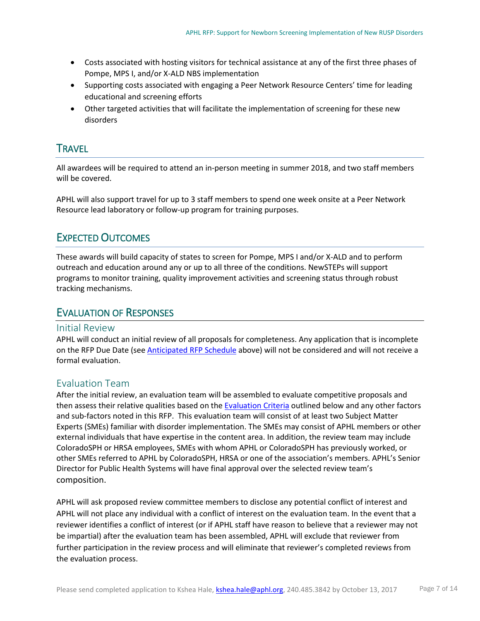- Costs associated with hosting visitors for technical assistance at any of the first three phases of Pompe, MPS I, and/or X-ALD NBS implementation
- Supporting costs associated with engaging a Peer Network Resource Centers' time for leading educational and screening efforts
- Other targeted activities that will facilitate the implementation of screening for these new disorders

## <span id="page-6-0"></span>**TRAVEL**

All awardees will be required to attend an in-person meeting in summer 2018, and two staff members will be covered.

APHL will also support travel for up to 3 staff members to spend one week onsite at a Peer Network Resource lead laboratory or follow-up program for training purposes.

## <span id="page-6-1"></span>EXPECTED OUTCOMES

These awards will build capacity of states to screen for Pompe, MPS I and/or X-ALD and to perform outreach and education around any or up to all three of the conditions. NewSTEPs will support programs to monitor training, quality improvement activities and screening status through robust tracking mechanisms.

#### <span id="page-6-2"></span>EVALUATION OF RESPONSES

#### Initial Review

APHL will conduct an initial review of all proposals for completeness. Any application that is incomplete on the RFP Due Date (see **Anticipated RFP Schedule** above) will not be considered and will not receive a formal evaluation.

#### Evaluation Team

After the initial review, an evaluation team will be assembled to evaluate competitive proposals and then assess their relative qualities based on th[e Evaluation Criteria](#page-7-5) outlined below and any other factors and sub-factors noted in this RFP. This evaluation team will consist of at least two Subject Matter Experts (SMEs) familiar with disorder implementation. The SMEs may consist of APHL members or other external individuals that have expertise in the content area. In addition, the review team may include ColoradoSPH or HRSA employees, SMEs with whom APHL or ColoradoSPH has previously worked, or other SMEs referred to APHL by ColoradoSPH, HRSA or one of the association's members. APHL's Senior Director for Public Health Systems will have final approval over the selected review team's composition.

APHL will ask proposed review committee members to disclose any potential conflict of interest and APHL will not place any individual with a conflict of interest on the evaluation team. In the event that a reviewer identifies a conflict of interest (or if APHL staff have reason to believe that a reviewer may not be impartial) after the evaluation team has been assembled, APHL will exclude that reviewer from further participation in the review process and will eliminate that reviewer's completed reviews from the evaluation process.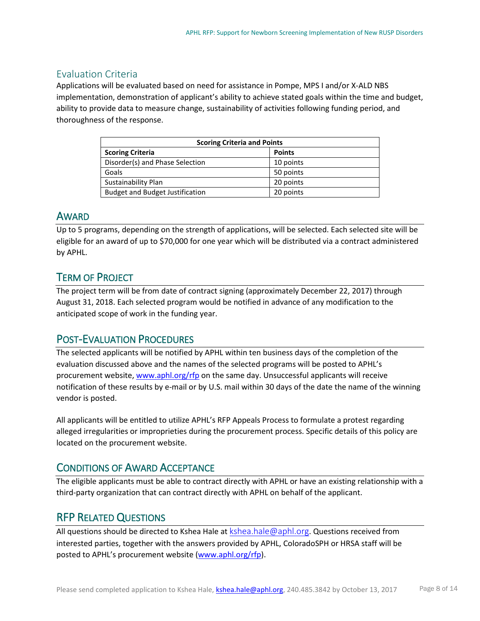## <span id="page-7-5"></span>Evaluation Criteria

Applications will be evaluated based on need for assistance in Pompe, MPS I and/or X-ALD NBS implementation, demonstration of applicant's ability to achieve stated goals within the time and budget, ability to provide data to measure change, sustainability of activities following funding period, and thoroughness of the response.

| <b>Scoring Criteria and Points</b>     |               |  |  |
|----------------------------------------|---------------|--|--|
| <b>Scoring Criteria</b>                | <b>Points</b> |  |  |
| Disorder(s) and Phase Selection        | 10 points     |  |  |
| Goals                                  | 50 points     |  |  |
| Sustainability Plan                    | 20 points     |  |  |
| <b>Budget and Budget Justification</b> | 20 points     |  |  |

## <span id="page-7-0"></span>AWARD

Up to 5 programs, depending on the strength of applications, will be selected. Each selected site will be eligible for an award of up to \$70,000 for one year which will be distributed via a contract administered by APHL.

# <span id="page-7-1"></span>TERM OF PROJECT

The project term will be from date of contract signing (approximately December 22, 2017) through August 31, 2018. Each selected program would be notified in advance of any modification to the anticipated scope of work in the funding year.

# <span id="page-7-2"></span>POST-EVALUATION PROCEDURES

The selected applicants will be notified by APHL within ten business days of the completion of the evaluation discussed above and the names of the selected programs will be posted to APHL's procurement website[, www.aphl.org/rfp](http://www.aphl.org/rfp) on the same day. Unsuccessful applicants will receive notification of these results by e-mail or by U.S. mail within 30 days of the date the name of the winning vendor is posted.

All applicants will be entitled to utilize APHL's RFP Appeals Process to formulate a protest regarding alleged irregularities or improprieties during the procurement process. Specific details of this policy are located on the procurement website.

## <span id="page-7-3"></span>CONDITIONS OF AWARD ACCEPTANCE

The eligible applicants must be able to contract directly with APHL or have an existing relationship with a third-party organization that can contract directly with APHL on behalf of the applicant.

# <span id="page-7-4"></span>RFP RELATED QUESTIONS

All questions should be directed to Kshea Hale at  $kshea.hale@aphl.org$ . Questions received from interested parties, together with the answers provided by APHL, ColoradoSPH or HRSA staff will be posted to APHL's procurement website [\(www.aphl.org/rfp\)](http://www.aphl.org/rfp).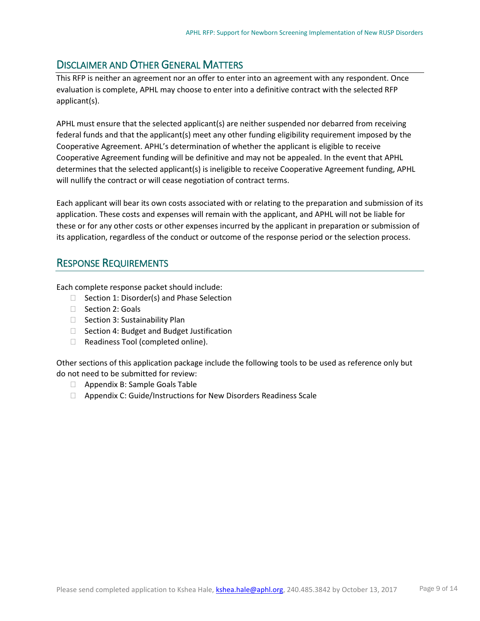# <span id="page-8-0"></span>DISCLAIMER AND OTHER GENERAL MATTERS

This RFP is neither an agreement nor an offer to enter into an agreement with any respondent. Once evaluation is complete, APHL may choose to enter into a definitive contract with the selected RFP applicant(s).

APHL must ensure that the selected applicant(s) are neither suspended nor debarred from receiving federal funds and that the applicant(s) meet any other funding eligibility requirement imposed by the Cooperative Agreement. APHL's determination of whether the applicant is eligible to receive Cooperative Agreement funding will be definitive and may not be appealed. In the event that APHL determines that the selected applicant(s) is ineligible to receive Cooperative Agreement funding, APHL will nullify the contract or will cease negotiation of contract terms.

Each applicant will bear its own costs associated with or relating to the preparation and submission of its application. These costs and expenses will remain with the applicant, and APHL will not be liable for these or for any other costs or other expenses incurred by the applicant in preparation or submission of its application, regardless of the conduct or outcome of the response period or the selection process.

## <span id="page-8-1"></span>RESPONSE REQUIREMENTS

Each complete response packet should include:

- $\Box$  Section 1: Disorder(s) and Phase Selection
- □ Section 2: Goals
- $\Box$  Section 3: Sustainability Plan
- $\Box$  Section 4: Budget and Budget Justification
- □ Readiness Tool (completed online).

Other sections of this application package include the following tools to be used as reference only but do not need to be submitted for review:

- □ Appendix B: Sample Goals Table
- □ Appendix C: Guide/Instructions for New Disorders Readiness Scale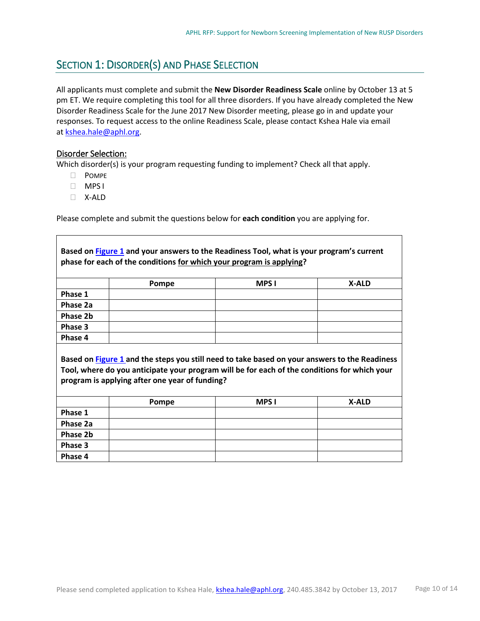# <span id="page-9-0"></span>SECTION 1: DISORDER(S) AND PHASE SELECTION

All applicants must complete and submit the **New Disorder Readiness Scale** online by October 13 at 5 pm ET. We require completing this tool for all three disorders. If you have already completed the New Disorder Readiness Scale for the June 2017 New Disorder meeting, please go in and update your responses. To request access to the online Readiness Scale, please contact Kshea Hale via email at [kshea.hale@aphl.org.](mailto:kshea.hale@aphl.org)

#### Disorder Selection:

Which disorder(s) is your program requesting funding to implement? Check all that apply.

- D POMPE
- MPS I
- X-ALD

Please complete and submit the questions below for **each condition** you are applying for.

| Based on Figure 1 and your answers to the Readiness Tool, what is your program's current     |                                                                                               |              |              |  |  |
|----------------------------------------------------------------------------------------------|-----------------------------------------------------------------------------------------------|--------------|--------------|--|--|
| phase for each of the conditions for which your program is applying?                         |                                                                                               |              |              |  |  |
|                                                                                              |                                                                                               |              |              |  |  |
|                                                                                              | Pompe                                                                                         | <b>MPS I</b> | X-ALD        |  |  |
| Phase 1                                                                                      |                                                                                               |              |              |  |  |
| Phase 2a                                                                                     |                                                                                               |              |              |  |  |
| Phase 2b                                                                                     |                                                                                               |              |              |  |  |
| Phase 3                                                                                      |                                                                                               |              |              |  |  |
| Phase 4                                                                                      |                                                                                               |              |              |  |  |
|                                                                                              |                                                                                               |              |              |  |  |
|                                                                                              | Based on Figure 1 and the steps you still need to take based on your answers to the Readiness |              |              |  |  |
| Tool, where do you anticipate your program will be for each of the conditions for which your |                                                                                               |              |              |  |  |
| program is applying after one year of funding?                                               |                                                                                               |              |              |  |  |
|                                                                                              |                                                                                               |              |              |  |  |
|                                                                                              | Pompe                                                                                         | <b>MPS</b> I | <b>X-ALD</b> |  |  |
| Phase 1                                                                                      |                                                                                               |              |              |  |  |
| Phase 2a                                                                                     |                                                                                               |              |              |  |  |
| Phase 2b                                                                                     |                                                                                               |              |              |  |  |
| Phase 3                                                                                      |                                                                                               |              |              |  |  |
| Phase 4                                                                                      |                                                                                               |              |              |  |  |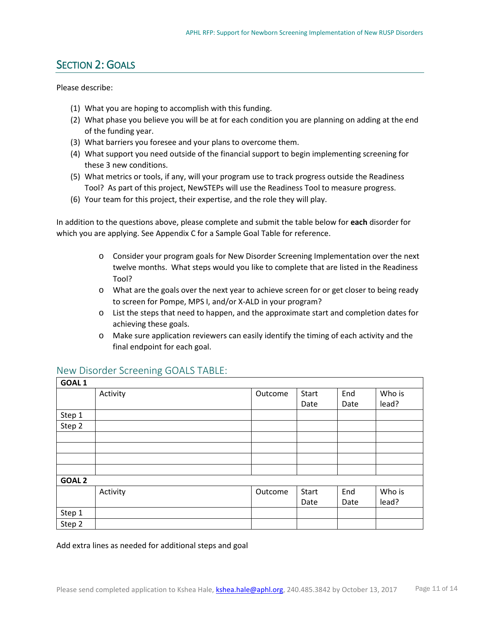# <span id="page-10-0"></span>SECTION 2: GOALS

Please describe:

- (1) What you are hoping to accomplish with this funding.
- (2) What phase you believe you will be at for each condition you are planning on adding at the end of the funding year.
- (3) What barriers you foresee and your plans to overcome them.
- (4) What support you need outside of the financial support to begin implementing screening for these 3 new conditions.
- (5) What metrics or tools, if any, will your program use to track progress outside the Readiness Tool? As part of this project, NewSTEPs will use the Readiness Tool to measure progress.
- (6) Your team for this project, their expertise, and the role they will play.

In addition to the questions above, please complete and submit the table below for **each** disorder for which you are applying. See Appendix C for a Sample Goal Table for reference.

- o Consider your program goals for New Disorder Screening Implementation over the next twelve months. What steps would you like to complete that are listed in the Readiness Tool?
- o What are the goals over the next year to achieve screen for or get closer to being ready to screen for Pompe, MPS I, and/or X-ALD in your program?
- o List the steps that need to happen, and the approximate start and completion dates for achieving these goals.
- o Make sure application reviewers can easily identify the timing of each activity and the final endpoint for each goal.

| GOAL <sub>1</sub> |          |         |       |      |        |
|-------------------|----------|---------|-------|------|--------|
|                   | Activity | Outcome | Start | End  | Who is |
|                   |          |         | Date  | Date | lead?  |
| Step 1            |          |         |       |      |        |
| Step 2            |          |         |       |      |        |
|                   |          |         |       |      |        |
|                   |          |         |       |      |        |
|                   |          |         |       |      |        |
|                   |          |         |       |      |        |
| GOAL <sub>2</sub> |          |         |       |      |        |
|                   | Activity | Outcome | Start | End  | Who is |
|                   |          |         | Date  | Date | lead?  |
| Step 1            |          |         |       |      |        |
| Step 2            |          |         |       |      |        |

#### New Disorder Screening GOALS TABLE:

Add extra lines as needed for additional steps and goal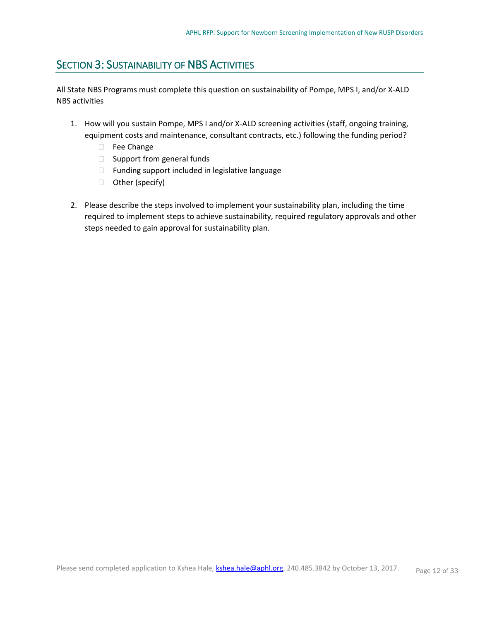# <span id="page-11-0"></span>SECTION 3: SUSTAINABILITY OF NBS ACTIVITIES

All State NBS Programs must complete this question on sustainability of Pompe, MPS I, and/or X-ALD NBS activities

- 1. How will you sustain Pompe, MPS I and/or X-ALD screening activities (staff, ongoing training, equipment costs and maintenance, consultant contracts, etc.) following the funding period?
	- Fee Change
	- □ Support from general funds
	- $\Box$  Funding support included in legislative language
	- □ Other (specify)
- 2. Please describe the steps involved to implement your sustainability plan, including the time required to implement steps to achieve sustainability, required regulatory approvals and other steps needed to gain approval for sustainability plan.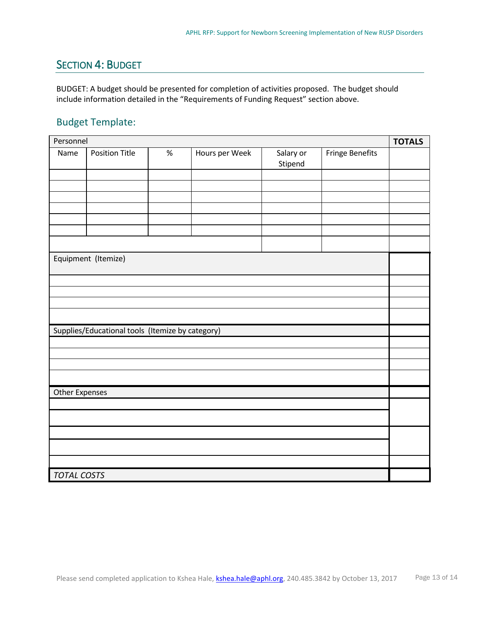# <span id="page-12-0"></span>SECTION 4: BUDGET

BUDGET: A budget should be presented for completion of activities proposed. The budget should include information detailed in the "Requirements of Funding Request" section above.

## Budget Template:

| Personnel                                        |                       |      |                |                      |                        | <b>TOTALS</b> |  |
|--------------------------------------------------|-----------------------|------|----------------|----------------------|------------------------|---------------|--|
| Name                                             | <b>Position Title</b> | $\%$ | Hours per Week | Salary or<br>Stipend | <b>Fringe Benefits</b> |               |  |
|                                                  |                       |      |                |                      |                        |               |  |
|                                                  |                       |      |                |                      |                        |               |  |
|                                                  |                       |      |                |                      |                        |               |  |
|                                                  |                       |      |                |                      |                        |               |  |
|                                                  |                       |      |                |                      |                        |               |  |
|                                                  |                       |      |                |                      |                        |               |  |
|                                                  | Equipment (Itemize)   |      |                |                      |                        |               |  |
|                                                  |                       |      |                |                      |                        |               |  |
|                                                  |                       |      |                |                      |                        |               |  |
|                                                  |                       |      |                |                      |                        |               |  |
|                                                  |                       |      |                |                      |                        |               |  |
| Supplies/Educational tools (Itemize by category) |                       |      |                |                      |                        |               |  |
|                                                  |                       |      |                |                      |                        |               |  |
|                                                  |                       |      |                |                      |                        |               |  |
|                                                  |                       |      |                |                      |                        |               |  |
| <b>Other Expenses</b>                            |                       |      |                |                      |                        |               |  |
|                                                  |                       |      |                |                      |                        |               |  |
|                                                  |                       |      |                |                      |                        |               |  |
|                                                  |                       |      |                |                      |                        |               |  |
|                                                  |                       |      |                |                      |                        |               |  |
|                                                  |                       |      |                |                      |                        |               |  |
| TOTAL COSTS                                      |                       |      |                |                      |                        |               |  |